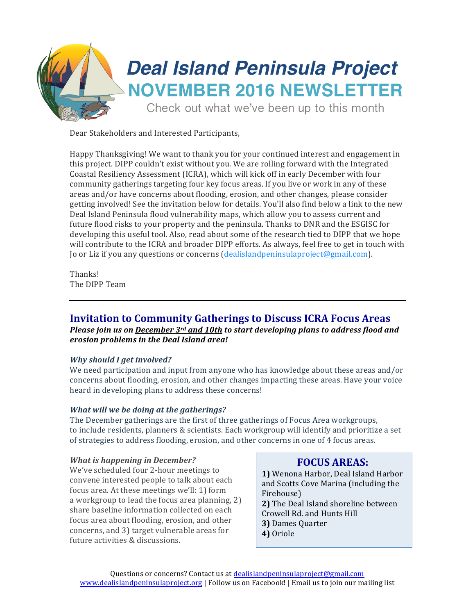

Dear Stakeholders and Interested Participants,

Happy Thanksgiving! We want to thank you for your continued interest and engagement in this project. DIPP couldn't exist without you. We are rolling forward with the Integrated Coastal Resiliency Assessment (ICRA), which will kick off in early December with four community gatherings targeting four key focus areas. If you live or work in any of these areas and/or have concerns about flooding, erosion, and other changes, please consider getting involved! See the invitation below for details. You'll also find below a link to the new Deal Island Peninsula flood vulnerability maps, which allow you to assess current and future flood risks to your property and the peninsula. Thanks to DNR and the ESGISC for developing this useful tool. Also, read about some of the research tied to DIPP that we hope will contribute to the ICRA and broader DIPP efforts. As always, feel free to get in touch with Jo or Liz if you any questions or concerns (dealislandpeninsulaproject@gmail.com).

Thanks! The DIPP Team

# **Invitation to Community Gatherings to Discuss ICRA Focus Areas**

*Please join us on December 3<sup>rd</sup> and 10th to start developing plans to address flood and erosion problems in the Deal Island area!*

#### *Why should I get involved?*

We need participation and input from anyone who has knowledge about these areas and/or concerns about flooding, erosion, and other changes impacting these areas. Have your voice heard in developing plans to address these concerns!

#### *What will we be doing at the gatherings?*

The December gatherings are the first of three gatherings of Focus Area workgroups, to include residents, planners & scientists. Each workgroup will identify and prioritize a set of strategies to address flooding, erosion, and other concerns in one of 4 focus areas.

#### *<i>What is happening in December?*

We've scheduled four 2-hour meetings to convene interested people to talk about each focus area. At these meetings we'll: 1) form a workgroup to lead the focus area planning, 2) share baseline information collected on each focus area about flooding, erosion, and other concerns, and 3) target vulnerable areas for future activities & discussions.

## **FOCUS AREAS:**

**1)** Wenona Harbor, Deal Island Harbor and Scotts Cove Marina (including the Firehouse) **2)** The Deal Island shoreline between Crowell Rd. and Hunts Hill **3)** Dames Quarter **4)** Oriole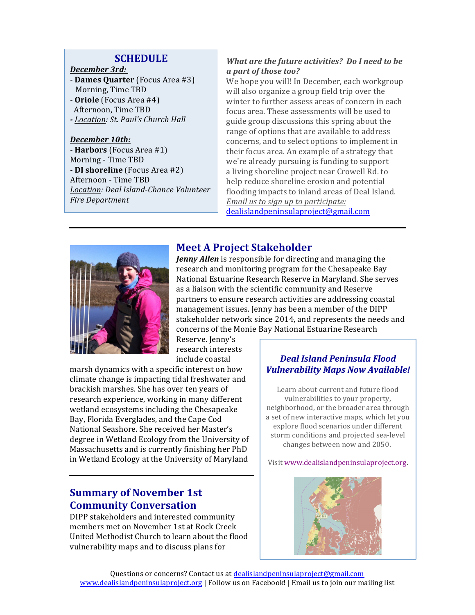### **SCHEDULE**

#### *December 3rd:*

- **Dames Quarter** (Focus Area #3) Morning, Time TBD - **Oriole** (Focus Area #4) Afternoon, Time TBD *- Location: St. Paul's Church Hall* 

### *December 10th:*

- **Harbors** (Focus Area #1) Morning - Time TBD - **DI shoreline** (Focus Area #2) Afternoon - Time TBD *Location: Deal Island-Chance Volunteer*  **Fire Department** 

### *What are the future activities?* Do I need to be *a part of those too?*

We hope you will! In December, each workgroup will also organize a group field trip over the winter to further assess areas of concern in each focus area. These assessments will be used to guide group discussions this spring about the range of options that are available to address concerns, and to select options to implement in their focus area. An example of a strategy that we're already pursuing is funding to support a living shoreline project near Crowell Rd. to help reduce shoreline erosion and potential flooding impacts to inland areas of Deal Island. *Email us to sign up to participate:* dealislandpeninsulaproject@gmail.com



# **Meet A Project Stakeholder**

*Jenny Allen* is responsible for directing and managing the research and monitoring program for the Chesapeake Bay National Estuarine Research Reserve in Maryland. She serves as a liaison with the scientific community and Reserve partners to ensure research activities are addressing coastal management issues. Jenny has been a member of the DIPP stakeholder network since 2014, and represents the needs and concerns of the Monie Bay National Estuarine Research

Reserve. Jenny's research interests include coastal 

marsh dynamics with a specific interest on how climate change is impacting tidal freshwater and brackish marshes. She has over ten years of research experience, working in many different wetland ecosystems including the Chesapeake Bay, Florida Everglades, and the Cape Cod National Seashore. She received her Master's degree in Wetland Ecology from the University of Massachusetts and is currently finishing her PhD in Wetland Ecology at the University of Maryland

# **Summary of November 1st Community Conversation**

DIPP stakeholders and interested community members met on November 1st at Rock Creek United Methodist Church to learn about the flood vulnerability maps and to discuss plans for

## *Deal Island Peninsula Flood Vulnerability Maps Now Available!*

Learn about current and future flood vulnerabilities to your property, neighborhood, or the broader area through a set of new interactive maps, which let you explore flood scenarios under different storm conditions and projected sea-level changes between now and 2050.

Visit www.dealislandpeninsulaproject.org.